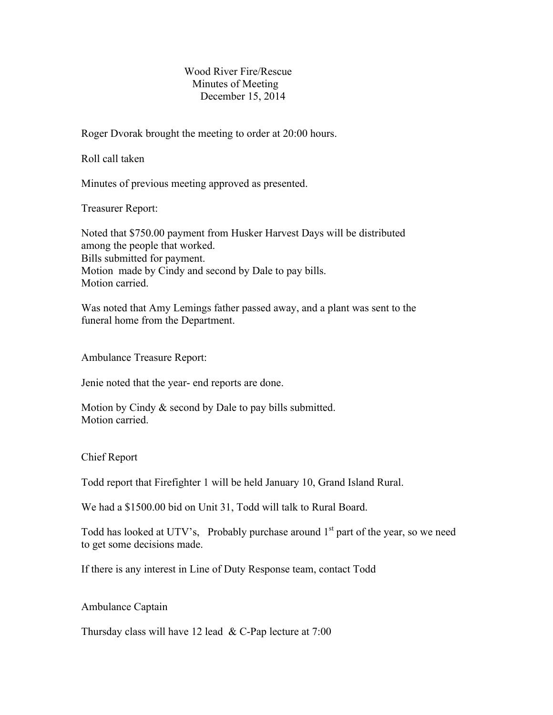## Wood River Fire/Rescue Minutes of Meeting December 15, 2014

Roger Dvorak brought the meeting to order at 20:00 hours.

Roll call taken

Minutes of previous meeting approved as presented.

Treasurer Report:

Noted that \$750.00 payment from Husker Harvest Days will be distributed among the people that worked. Bills submitted for payment. Motion made by Cindy and second by Dale to pay bills. Motion carried.

Was noted that Amy Lemings father passed away, and a plant was sent to the funeral home from the Department.

Ambulance Treasure Report:

Jenie noted that the year- end reports are done.

Motion by Cindy & second by Dale to pay bills submitted. Motion carried.

Chief Report

Todd report that Firefighter 1 will be held January 10, Grand Island Rural.

We had a \$1500.00 bid on Unit 31, Todd will talk to Rural Board.

Todd has looked at UTV's, Probably purchase around  $1<sup>st</sup>$  part of the year, so we need to get some decisions made.

If there is any interest in Line of Duty Response team, contact Todd

Ambulance Captain

Thursday class will have 12 lead  $&$  C-Pap lecture at 7:00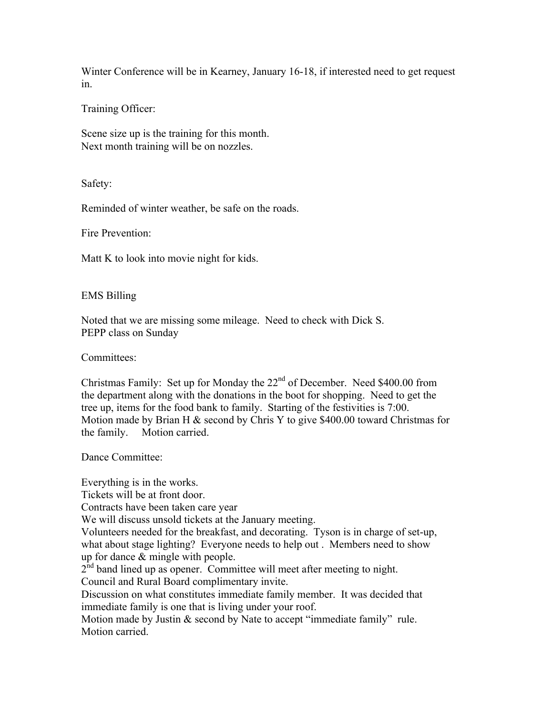Winter Conference will be in Kearney, January 16-18, if interested need to get request in.

Training Officer:

Scene size up is the training for this month. Next month training will be on nozzles.

Safety:

Reminded of winter weather, be safe on the roads.

Fire Prevention:

Matt K to look into movie night for kids.

EMS Billing

Noted that we are missing some mileage. Need to check with Dick S. PEPP class on Sunday

Committees:

Christmas Family: Set up for Monday the 22<sup>nd</sup> of December. Need \$400.00 from the department along with the donations in the boot for shopping. Need to get the tree up, items for the food bank to family. Starting of the festivities is 7:00. Motion made by Brian H  $\&$  second by Chris Y to give \$400.00 toward Christmas for the family. Motion carried.

Dance Committee:

Everything is in the works. Tickets will be at front door. Contracts have been taken care year We will discuss unsold tickets at the January meeting. Volunteers needed for the breakfast, and decorating. Tyson is in charge of set-up, what about stage lighting? Everyone needs to help out . Members need to show up for dance & mingle with people.  $2<sup>nd</sup>$  band lined up as opener. Committee will meet after meeting to night. Council and Rural Board complimentary invite. Discussion on what constitutes immediate family member. It was decided that immediate family is one that is living under your roof.

Motion made by Justin & second by Nate to accept "immediate family" rule. Motion carried.